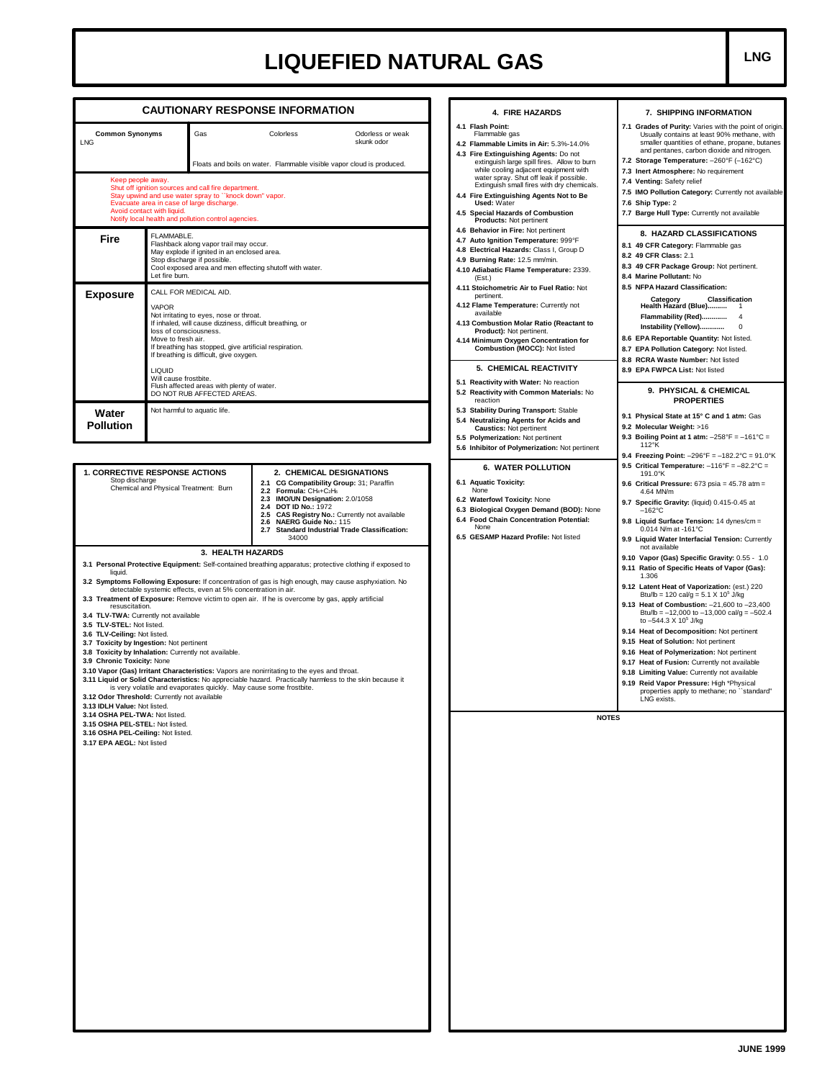## LIQUEFIED NATURAL GAS

| <b>CAUTIONARY RESPONSE INFORMATION</b>                                                                                               |                                                                                                                                                                                                                                                                                                                                                                                                                                                                                                                                                                                                                                                                                                                                                                                                                                                                                                                                                                                                     |                                                                                                                                                                                                                                              |  |                                                                                                                                                                                                                                                                                                                                                                                 | 4. FIRE HAZARDS                                                                                                                                                                                                                                                                                                                                                                                              | 7. SHIPPING INFORMATION                                                                                                                                                                                                                                                                                                                                                                                                                                                                                                                                                                                                                                                              |  |  |
|--------------------------------------------------------------------------------------------------------------------------------------|-----------------------------------------------------------------------------------------------------------------------------------------------------------------------------------------------------------------------------------------------------------------------------------------------------------------------------------------------------------------------------------------------------------------------------------------------------------------------------------------------------------------------------------------------------------------------------------------------------------------------------------------------------------------------------------------------------------------------------------------------------------------------------------------------------------------------------------------------------------------------------------------------------------------------------------------------------------------------------------------------------|----------------------------------------------------------------------------------------------------------------------------------------------------------------------------------------------------------------------------------------------|--|---------------------------------------------------------------------------------------------------------------------------------------------------------------------------------------------------------------------------------------------------------------------------------------------------------------------------------------------------------------------------------|--------------------------------------------------------------------------------------------------------------------------------------------------------------------------------------------------------------------------------------------------------------------------------------------------------------------------------------------------------------------------------------------------------------|--------------------------------------------------------------------------------------------------------------------------------------------------------------------------------------------------------------------------------------------------------------------------------------------------------------------------------------------------------------------------------------------------------------------------------------------------------------------------------------------------------------------------------------------------------------------------------------------------------------------------------------------------------------------------------------|--|--|
| <b>Common Synonyms</b><br><b>LNG</b><br>Keep people away.<br>Evacuate area in case of large discharge.<br>Avoid contact with liquid. |                                                                                                                                                                                                                                                                                                                                                                                                                                                                                                                                                                                                                                                                                                                                                                                                                                                                                                                                                                                                     | Gas<br>Colorless<br>Odorless or weak<br>skunk odor<br>Floats and boils on water. Flammable visible vapor cloud is produced.<br>Shut off ignition sources and call fire department.<br>Stay upwind and use water spray to "knock down" vapor. |  |                                                                                                                                                                                                                                                                                                                                                                                 | 4.1 Flash Point:<br>Flammable gas<br>4.2 Flammable Limits in Air: 5.3%-14.0%<br>4.3 Fire Extinguishing Agents: Do not<br>extinguish large spill fires. Allow to burn<br>while cooling adjacent equipment with<br>water spray. Shut off leak if possible.<br>Extinguish small fires with dry chemicals.<br>4.4 Fire Extinguishing Agents Not to Be<br><b>Used: Water</b><br>4.5 Special Hazards of Combustion | 7.1 Grades of Purity: Varies with the point of origin.<br>Usually contains at least 90% methane, with<br>smaller quantities of ethane, propane, butanes<br>and pentanes, carbon dioxide and nitrogen.<br>7.2 Storage Temperature: -260°F (-162°C)<br>7.3 Inert Atmosphere: No requirement<br>7.4 Venting: Safety relief<br>7.5 IMO Pollution Category: Currently not available<br>7.6 Ship Type: 2<br>7.7 Barge Hull Type: Currently not available<br>8. HAZARD CLASSIFICATIONS<br>8.1 49 CFR Category: Flammable gas<br>8.2 49 CFR Class: 2.1<br>8.3 49 CFR Package Group: Not pertinent.<br>8.4 Marine Pollutant: No                                                               |  |  |
| Fire                                                                                                                                 | Notify local health and pollution control agencies.<br>FLAMMABLE.<br>Flashback along vapor trail may occur.<br>May explode if ignited in an enclosed area.<br>Stop discharge if possible.<br>Cool exposed area and men effecting shutoff with water.<br>Let fire burn.                                                                                                                                                                                                                                                                                                                                                                                                                                                                                                                                                                                                                                                                                                                              |                                                                                                                                                                                                                                              |  |                                                                                                                                                                                                                                                                                                                                                                                 | <b>Products: Not pertinent</b><br>4.6 Behavior in Fire: Not pertinent<br>4.7 Auto Ignition Temperature: 999°F<br>4.8 Electrical Hazards: Class I, Group D<br>4.9 Burning Rate: 12.5 mm/min.<br>4.10 Adiabatic Flame Temperature: 2339.<br>(Est.)                                                                                                                                                             |                                                                                                                                                                                                                                                                                                                                                                                                                                                                                                                                                                                                                                                                                      |  |  |
| <b>Exposure</b>                                                                                                                      | CALL FOR MEDICAL AID.<br><b>VAPOR</b><br>Not irritating to eyes, nose or throat.<br>If inhaled, will cause dizziness, difficult breathing, or<br>loss of consciousness.<br>Move to fresh air.<br>If breathing has stopped, give artificial respiration.<br>If breathing is difficult, give oxygen.<br><b>LIQUID</b><br>Will cause frostbite.<br>Flush affected areas with plenty of water.<br>DO NOT RUB AFFECTED AREAS.                                                                                                                                                                                                                                                                                                                                                                                                                                                                                                                                                                            |                                                                                                                                                                                                                                              |  | 4.11 Stoichometric Air to Fuel Ratio: Not<br>pertinent.<br>4.12 Flame Temperature: Currently not<br>available<br>4.13 Combustion Molar Ratio (Reactant to<br>Product): Not pertinent.<br>4.14 Minimum Oxygen Concentration for<br>Combustion (MOCC): Not listed<br>5. CHEMICAL REACTIVITY<br>5.1 Reactivity with Water: No reaction<br>5.2 Reactivity with Common Materials: No | 8.5 NFPA Hazard Classification:<br>Classification<br>Category<br>Health Hazard (Blue)<br>Instability (Yellow)<br>0<br>8.6 EPA Reportable Quantity: Not listed.<br>8.7 EPA Pollution Category: Not listed.<br>8.8 RCRA Waste Number: Not listed<br>8.9 EPA FWPCA List: Not listed<br>9. PHYSICAL & CHEMICAL                                                                                                   |                                                                                                                                                                                                                                                                                                                                                                                                                                                                                                                                                                                                                                                                                      |  |  |
| Water<br><b>Pollution</b>                                                                                                            |                                                                                                                                                                                                                                                                                                                                                                                                                                                                                                                                                                                                                                                                                                                                                                                                                                                                                                                                                                                                     | Not harmful to aquatic life.                                                                                                                                                                                                                 |  |                                                                                                                                                                                                                                                                                                                                                                                 | reaction<br>5.3 Stability During Transport: Stable<br>5.4 Neutralizing Agents for Acids and<br><b>Caustics: Not pertinent</b><br>5.5 Polymerization: Not pertinent<br>5.6 Inhibitor of Polymerization: Not pertinent                                                                                                                                                                                         | <b>PROPERTIES</b><br>9.1 Physical State at 15° C and 1 atm: Gas<br>9.2 Molecular Weight: >16<br>9.3 Boiling Point at 1 atm: $-258^{\circ}F = -161^{\circ}C =$<br>112°K<br>9.4 Freezing Point: $-296^{\circ}F = -182.2^{\circ}C = 91.0^{\circ}K$<br>9.5 Critical Temperature: $-116^{\circ}F = -82.2^{\circ}C =$<br>191.0°K<br>9.6 Critical Pressure: $673$ psia = $45.78$ atm =<br>4.64 MN/m<br>9.7 Specific Gravity: (liquid) 0.415-0.45 at<br>–162°C<br>9.8 Liquid Surface Tension: 14 dynes/cm =<br>0.014 N/m at -161°C<br>9.9 Liquid Water Interfacial Tension: Currently<br>not available                                                                                       |  |  |
|                                                                                                                                      | <b>1. CORRECTIVE RESPONSE ACTIONS</b><br>Stop discharge<br>2.1 CG Compatibility Group: 31; Paraffin<br>Chemical and Physical Treatment: Burn<br>2.2 Formula: CH4+C2H6<br>2.3 IMO/UN Designation: 2.0/1058<br><b>DOT ID No.: 1972</b><br>2.4<br>2.5<br>2.6 NAERG Guide No.: 115<br>34000                                                                                                                                                                                                                                                                                                                                                                                                                                                                                                                                                                                                                                                                                                             |                                                                                                                                                                                                                                              |  | 2. CHEMICAL DESIGNATIONS<br>CAS Registry No.: Currently not available<br>2.7 Standard Industrial Trade Classification:                                                                                                                                                                                                                                                          | <b>6. WATER POLLUTION</b><br>6.1 Aquatic Toxicity:<br>None<br>6.2 Waterfowl Toxicity: None<br>6.3 Biological Oxygen Demand (BOD): None<br>6.4 Food Chain Concentration Potential:<br>None<br>6.5 GESAMP Hazard Profile: Not listed                                                                                                                                                                           |                                                                                                                                                                                                                                                                                                                                                                                                                                                                                                                                                                                                                                                                                      |  |  |
| liquid.<br>3.13 IDLH Value: Not listed.                                                                                              | 3. HEALTH HAZARDS<br>3.1 Personal Protective Equipment: Self-contained breathing apparatus; protective clothing if exposed to<br>3.2 Symptoms Following Exposure: If concentration of gas is high enough, may cause asphyxiation. No<br>detectable systemic effects, even at 5% concentration in air.<br>3.3 Treatment of Exposure: Remove victim to open air. If he is overcome by gas, apply artificial<br>resuscitation.<br>3.4 TLV-TWA: Currently not available<br>3.5 TLV-STEL: Not listed.<br>3.6 TLV-Ceiling: Not listed.<br>3.7 Toxicity by Ingestion: Not pertinent<br>3.8 Toxicity by Inhalation: Currently not available.<br>3.9 Chronic Toxicity: None<br>3.10 Vapor (Gas) Irritant Characteristics: Vapors are nonirritating to the eyes and throat.<br>3.11 Liquid or Solid Characteristics: No appreciable hazard. Practically harmless to the skin because it<br>is very volatile and evaporates quickly. May cause some frostbite.<br>3.12 Odor Threshold: Currently not available |                                                                                                                                                                                                                                              |  |                                                                                                                                                                                                                                                                                                                                                                                 |                                                                                                                                                                                                                                                                                                                                                                                                              | 9.10 Vapor (Gas) Specific Gravity: 0.55 - 1.0<br>9.11 Ratio of Specific Heats of Vapor (Gas):<br>1.306<br>9.12 Latent Heat of Vaporization: (est.) 220<br>Btu/lb = 120 cal/g = $5.1 \times 10^5$ J/kg<br>9.13 Heat of Combustion: -21,600 to -23,400<br>Btu/lb = $-12,000$ to $-13,000$ cal/g = $-502.4$<br>to $-544.3 \times 10^5$ J/kg<br>9.14 Heat of Decomposition: Not pertinent<br>9.15 Heat of Solution: Not pertinent<br>9.16 Heat of Polymerization: Not pertinent<br>9.17 Heat of Fusion: Currently not available<br>9.18 Limiting Value: Currently not available<br>9.19 Reid Vapor Pressure: High *Physical<br>properties apply to methane; no "standard"<br>LNG exists. |  |  |
| 3.14 OSHA PEL-TWA: Not listed.<br>3.15 OSHA PEL-STEL: Not listed.<br>3.16 OSHA PEL-Ceiling: Not listed.<br>3.17 EPA AEGL: Not listed |                                                                                                                                                                                                                                                                                                                                                                                                                                                                                                                                                                                                                                                                                                                                                                                                                                                                                                                                                                                                     |                                                                                                                                                                                                                                              |  |                                                                                                                                                                                                                                                                                                                                                                                 | <b>NOTES</b>                                                                                                                                                                                                                                                                                                                                                                                                 |                                                                                                                                                                                                                                                                                                                                                                                                                                                                                                                                                                                                                                                                                      |  |  |